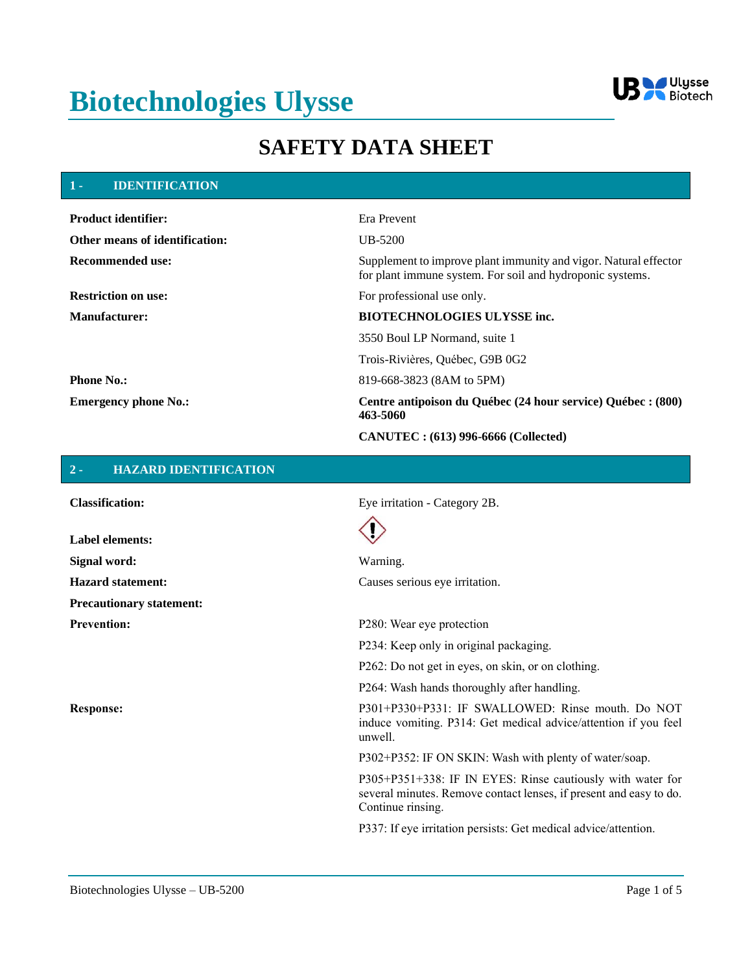# **Biotechnologies Ulysse**



## **SAFETY DATA SHEET**

#### **1 - IDENTIFICATION**

| <b>Product identifier:</b>            | Era Prevent                                                                                                                   |
|---------------------------------------|-------------------------------------------------------------------------------------------------------------------------------|
| <b>Other means of identification:</b> | $UB-5200$                                                                                                                     |
| Recommended use:                      | Supplement to improve plant immunity and vigor. Natural effector<br>for plant immune system. For soil and hydroponic systems. |
| <b>Restriction on use:</b>            | For professional use only.                                                                                                    |
| <b>Manufacturer:</b>                  | <b>BIOTECHNOLOGIES ULYSSE inc.</b>                                                                                            |
|                                       | 3550 Boul LP Normand, suite 1                                                                                                 |
|                                       | Trois-Rivières, Québec, G9B 0G2                                                                                               |
| <b>Phone No.:</b>                     | 819-668-3823 (8AM to 5PM)                                                                                                     |
| <b>Emergency phone No.:</b>           | Centre antipoison du Québec (24 hour service) Québec : (800)<br>463-5060                                                      |
|                                       | <b>CANUTEC</b> : (613) 996-6666 (Collected)                                                                                   |

#### **2 - HAZARD IDENTIFICATION**

**Label elements:**

**Precautionary statement:**

**Classification:** Eye irritation - Category 2B.



**Signal word:** Warning. Hazard statement: Causes serious eye irritation.

**Prevention:** P280: Wear eye protection

P234: Keep only in original packaging.

P262: Do not get in eyes, on skin, or on clothing.

P264: Wash hands thoroughly after handling.

**Response:** P301+P330+P331: IF SWALLOWED: Rinse mouth. Do NOT induce vomiting. P314: Get medical advice/attention if you feel unwell.

P302+P352: IF ON SKIN: Wash with plenty of water/soap.

P305+P351+338: IF IN EYES: Rinse cautiously with water for several minutes. Remove contact lenses, if present and easy to do. Continue rinsing.

P337: If eye irritation persists: Get medical advice/attention.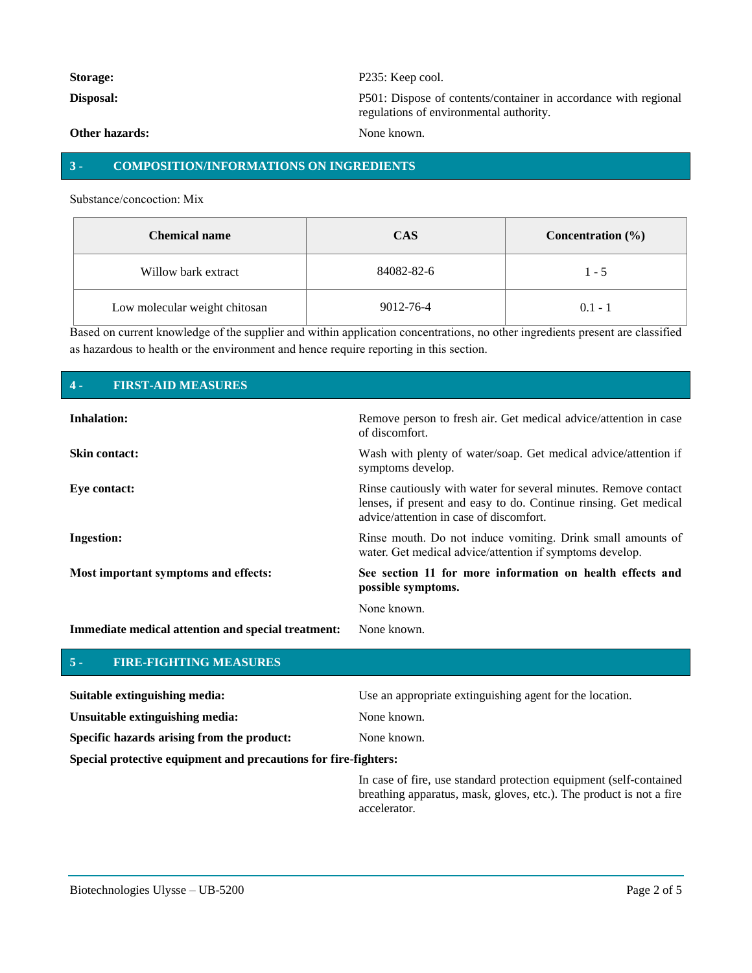| Storage:              | P <sub>235</sub> : Keep cool.                                                                              |
|-----------------------|------------------------------------------------------------------------------------------------------------|
| Disposal:             | P501: Dispose of contents/container in accordance with regional<br>regulations of environmental authority. |
| <b>Other hazards:</b> | None known.                                                                                                |

### **3 - COMPOSITION/INFORMATIONS ON INGREDIENTS**

Substance/concoction: Mix

| <b>Chemical name</b>          | <b>CAS</b> | Concentration $(\% )$ |
|-------------------------------|------------|-----------------------|
| Willow bark extract           | 84082-82-6 | $1 - 5$               |
| Low molecular weight chitosan | 9012-76-4  | $0.1 - 1$             |

Based on current knowledge of the supplier and within application concentrations, no other ingredients present are classified as hazardous to health or the environment and hence require reporting in this section.

#### **4 - FIRST-AID MEASURES**

| <b>Inhalation:</b>                                 | Remove person to fresh air. Get medical advice/attention in case<br>of discomfort.                                                                                             |
|----------------------------------------------------|--------------------------------------------------------------------------------------------------------------------------------------------------------------------------------|
| <b>Skin contact:</b>                               | Wash with plenty of water/soap. Get medical advice/attention if<br>symptoms develop.                                                                                           |
| Eye contact:                                       | Rinse cautiously with water for several minutes. Remove contact<br>lenses, if present and easy to do. Continue rinsing. Get medical<br>advice/attention in case of discomfort. |
| <b>Ingestion:</b>                                  | Rinse mouth. Do not induce vomiting. Drink small amounts of<br>water. Get medical advice/attention if symptoms develop.                                                        |
| Most important symptoms and effects:               | See section 11 for more information on health effects and<br>possible symptoms.                                                                                                |
|                                                    | None known.                                                                                                                                                                    |
| Immediate medical attention and special treatment: | None known.                                                                                                                                                                    |

#### **5 - FIRE-FIGHTING MEASURES**

| Suitable extinguishing media:                                   | Use an appropriate extinguishing agent for the location. |
|-----------------------------------------------------------------|----------------------------------------------------------|
| Unsuitable extinguishing media:                                 | None known.                                              |
| Specific hazards arising from the product:                      | None known.                                              |
| Special protective equipment and precautions for fire-fighters: |                                                          |

In case of fire, use standard protection equipment (self-contained breathing apparatus, mask, gloves, etc.). The product is not a fire accelerator.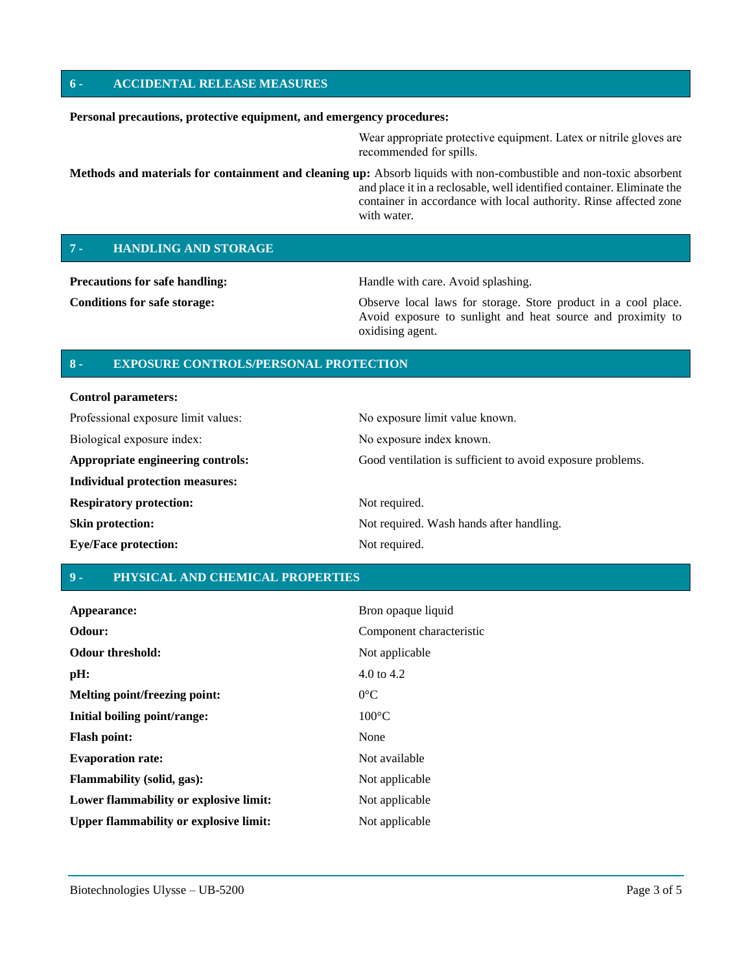#### **6 - ACCIDENTAL RELEASE MEASURES**

#### **Personal precautions, protective equipment, and emergency procedures:**

Wear appropriate protective equipment. Latex or nitrile gloves are recommended for spills.

**Methods and materials for containment and cleaning up:** Absorb liquids with non-combustible and non-toxic absorbent and place it in a reclosable, well identified container. Eliminate the container in accordance with local authority. Rinse affected zone with water.

#### **7 - HANDLING AND STORAGE**

**Precautions for safe handling: Handle with care. Avoid splashing.** 

**Conditions for safe storage:** Observe local laws for storage. Store product in a cool place. Avoid exposure to sunlight and heat source and proximity to oxidising agent.

#### **8 - EXPOSURE CONTROLS/PERSONAL PROTECTION**

#### **Control parameters:**

| Professional exposure limit values:    | No exposure limit value known.                             |
|----------------------------------------|------------------------------------------------------------|
| Biological exposure index:             | No exposure index known.                                   |
| Appropriate engineering controls:      | Good ventilation is sufficient to avoid exposure problems. |
| <b>Individual protection measures:</b> |                                                            |
| <b>Respiratory protection:</b>         | Not required.                                              |
| <b>Skin protection:</b>                | Not required. Wash hands after handling.                   |
| <b>Eye/Face protection:</b>            | Not required.                                              |

#### **9 - PHYSICAL AND CHEMICAL PROPERTIES**

| Appearance:                                   | Bron opaque liquid       |
|-----------------------------------------------|--------------------------|
| Odour:                                        | Component characteristic |
| <b>Odour threshold:</b>                       | Not applicable           |
| pH:                                           | 4.0 to 4.2               |
| Melting point/freezing point:                 | $0^{\circ}$ C            |
| Initial boiling point/range:                  | $100^{\circ}$ C          |
| <b>Flash point:</b>                           | None                     |
| <b>Evaporation rate:</b>                      | Not available            |
| <b>Flammability (solid, gas):</b>             | Not applicable           |
| Lower flammability or explosive limit:        | Not applicable           |
| <b>Upper flammability or explosive limit:</b> | Not applicable           |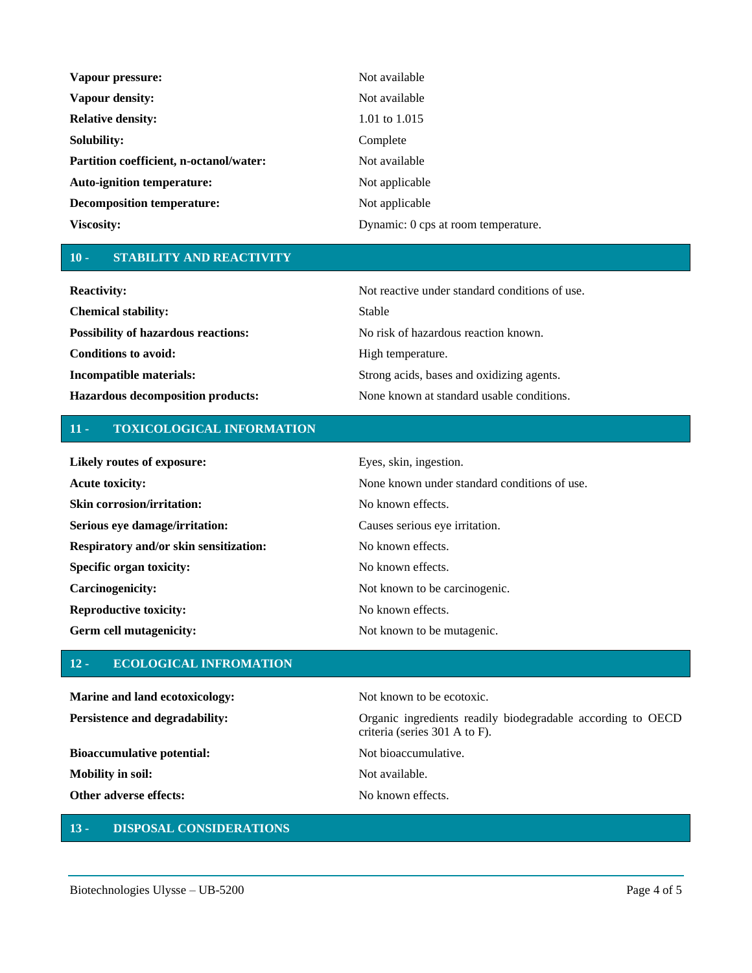| Vapour pressure:                        | Not available                       |
|-----------------------------------------|-------------------------------------|
| Vapour density:                         | Not available                       |
| <b>Relative density:</b>                | 1.01 to $1.015$                     |
| Solubility:                             | Complete                            |
| Partition coefficient, n-octanol/water: | Not available                       |
| <b>Auto-ignition temperature:</b>       | Not applicable                      |
| <b>Decomposition temperature:</b>       | Not applicable                      |
| Viscosity:                              | Dynamic: 0 cps at room temperature. |

#### **10 - STABILITY AND REACTIVITY**

| <b>Reactivity:</b>                         | Not reactive under standard conditions of use. |
|--------------------------------------------|------------------------------------------------|
| <b>Chemical stability:</b>                 | Stable                                         |
| <b>Possibility of hazardous reactions:</b> | No risk of hazardous reaction known.           |
| Conditions to avoid:                       | High temperature.                              |
| Incompatible materials:                    | Strong acids, bases and oxidizing agents.      |
| <b>Hazardous decomposition products:</b>   | None known at standard usable conditions.      |

### **11 - TOXICOLOGICAL INFORMATION**

| Likely routes of exposure:             | Eyes, skin, ingestion.                       |
|----------------------------------------|----------------------------------------------|
| <b>Acute toxicity:</b>                 | None known under standard conditions of use. |
| <b>Skin corrosion/irritation:</b>      | No known effects.                            |
| Serious eye damage/irritation:         | Causes serious eye irritation.               |
| Respiratory and/or skin sensitization: | No known effects.                            |
| Specific organ toxicity:               | No known effects.                            |
| Carcinogenicity:                       | Not known to be carcinogenic.                |
| <b>Reproductive toxicity:</b>          | No known effects.                            |
| Germ cell mutagenicity:                | Not known to be mutagenic.                   |

### **12 - ECOLOGICAL INFROMATION**

**Marine and land ecotoxicology:** Not known to be ecotoxic. **Persistence and degradability:** Organic ingredients readily biodegradable according to OECD criteria (series 301 A to F). **Bioaccumulative potential:** Not bioaccumulative. **Mobility in soil:** Not available. **Other adverse effects:** No known effects.

### **13 - DISPOSAL CONSIDERATIONS**